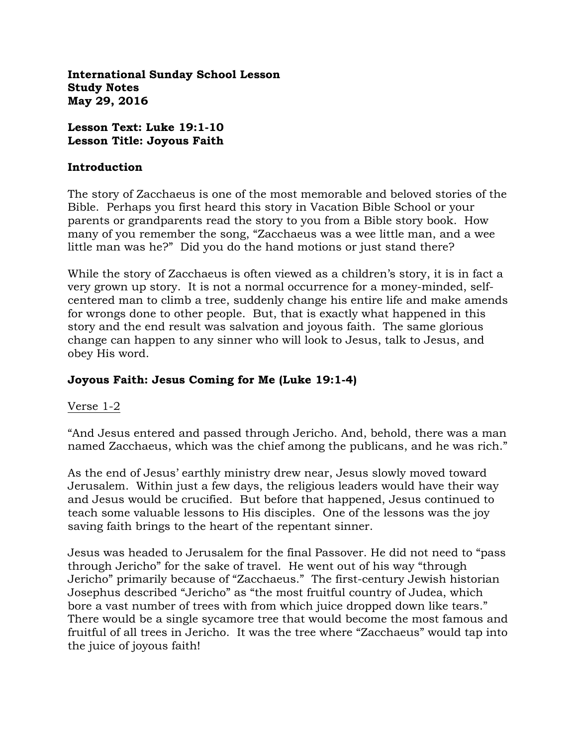**International Sunday School Lesson Study Notes May 29, 2016**

**Lesson Text: Luke 19:1-10 Lesson Title: Joyous Faith**

#### **Introduction**

The story of Zacchaeus is one of the most memorable and beloved stories of the Bible. Perhaps you first heard this story in Vacation Bible School or your parents or grandparents read the story to you from a Bible story book. How many of you remember the song, "Zacchaeus was a wee little man, and a wee little man was he?" Did you do the hand motions or just stand there?

While the story of Zacchaeus is often viewed as a children's story, it is in fact a very grown up story. It is not a normal occurrence for a money-minded, selfcentered man to climb a tree, suddenly change his entire life and make amends for wrongs done to other people. But, that is exactly what happened in this story and the end result was salvation and joyous faith. The same glorious change can happen to any sinner who will look to Jesus, talk to Jesus, and obey His word.

## **Joyous Faith: Jesus Coming for Me (Luke 19:1-4)**

### Verse 1-2

"And Jesus entered and passed through Jericho. And, behold, there was a man named Zacchaeus, which was the chief among the publicans, and he was rich."

As the end of Jesus' earthly ministry drew near, Jesus slowly moved toward Jerusalem. Within just a few days, the religious leaders would have their way and Jesus would be crucified. But before that happened, Jesus continued to teach some valuable lessons to His disciples. One of the lessons was the joy saving faith brings to the heart of the repentant sinner.

Jesus was headed to Jerusalem for the final Passover. He did not need to "pass through Jericho" for the sake of travel. He went out of his way "through Jericho" primarily because of "Zacchaeus." The first-century Jewish historian Josephus described "Jericho" as "the most fruitful country of Judea, which bore a vast number of trees with from which juice dropped down like tears." There would be a single sycamore tree that would become the most famous and fruitful of all trees in Jericho. It was the tree where "Zacchaeus" would tap into the juice of joyous faith!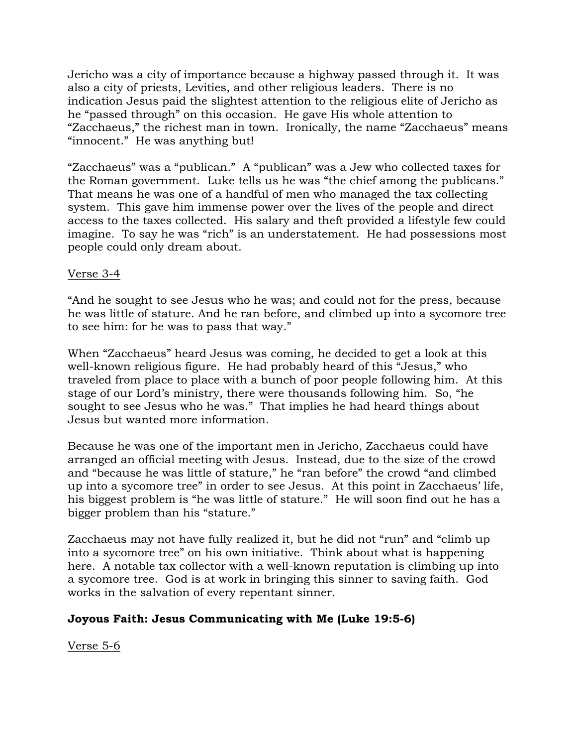Jericho was a city of importance because a highway passed through it. It was also a city of priests, Levities, and other religious leaders. There is no indication Jesus paid the slightest attention to the religious elite of Jericho as he "passed through" on this occasion. He gave His whole attention to "Zacchaeus," the richest man in town. Ironically, the name "Zacchaeus" means "innocent." He was anything but!

"Zacchaeus" was a "publican." A "publican" was a Jew who collected taxes for the Roman government. Luke tells us he was "the chief among the publicans." That means he was one of a handful of men who managed the tax collecting system. This gave him immense power over the lives of the people and direct access to the taxes collected. His salary and theft provided a lifestyle few could imagine. To say he was "rich" is an understatement. He had possessions most people could only dream about.

## Verse 3-4

"And he sought to see Jesus who he was; and could not for the press, because he was little of stature. And he ran before, and climbed up into a sycomore tree to see him: for he was to pass that way."

When "Zacchaeus" heard Jesus was coming, he decided to get a look at this well-known religious figure. He had probably heard of this "Jesus," who traveled from place to place with a bunch of poor people following him. At this stage of our Lord's ministry, there were thousands following him. So, "he sought to see Jesus who he was." That implies he had heard things about Jesus but wanted more information.

Because he was one of the important men in Jericho, Zacchaeus could have arranged an official meeting with Jesus. Instead, due to the size of the crowd and "because he was little of stature," he "ran before" the crowd "and climbed up into a sycomore tree" in order to see Jesus. At this point in Zacchaeus' life, his biggest problem is "he was little of stature." He will soon find out he has a bigger problem than his "stature."

Zacchaeus may not have fully realized it, but he did not "run" and "climb up into a sycomore tree" on his own initiative. Think about what is happening here. A notable tax collector with a well-known reputation is climbing up into a sycomore tree. God is at work in bringing this sinner to saving faith. God works in the salvation of every repentant sinner.

## **Joyous Faith: Jesus Communicating with Me (Luke 19:5-6)**

Verse 5-6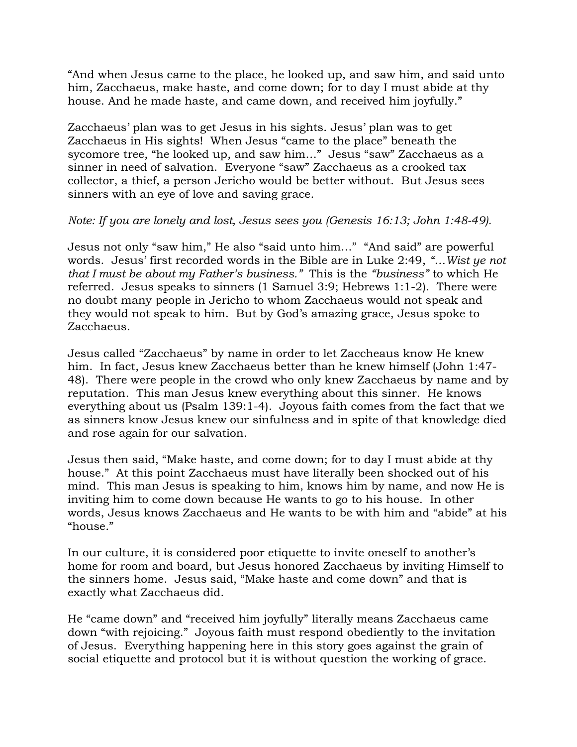"And when Jesus came to the place, he looked up, and saw him, and said unto him, Zacchaeus, make haste, and come down; for to day I must abide at thy house. And he made haste, and came down, and received him joyfully."

Zacchaeus' plan was to get Jesus in his sights. Jesus' plan was to get Zacchaeus in His sights! When Jesus "came to the place" beneath the sycomore tree, "he looked up, and saw him…" Jesus "saw" Zacchaeus as a sinner in need of salvation. Everyone "saw" Zacchaeus as a crooked tax collector, a thief, a person Jericho would be better without. But Jesus sees sinners with an eye of love and saving grace.

## *Note: If you are lonely and lost, Jesus sees you (Genesis 16:13; John 1:48-49).*

Jesus not only "saw him," He also "said unto him…" "And said" are powerful words. Jesus' first recorded words in the Bible are in Luke 2:49, *"…Wist ye not that I must be about my Father's business."* This is the *"business"* to which He referred. Jesus speaks to sinners (1 Samuel 3:9; Hebrews 1:1-2). There were no doubt many people in Jericho to whom Zacchaeus would not speak and they would not speak to him. But by God's amazing grace, Jesus spoke to Zacchaeus.

Jesus called "Zacchaeus" by name in order to let Zaccheaus know He knew him. In fact, Jesus knew Zacchaeus better than he knew himself (John 1:47- 48). There were people in the crowd who only knew Zacchaeus by name and by reputation. This man Jesus knew everything about this sinner. He knows everything about us (Psalm 139:1-4). Joyous faith comes from the fact that we as sinners know Jesus knew our sinfulness and in spite of that knowledge died and rose again for our salvation.

Jesus then said, "Make haste, and come down; for to day I must abide at thy house." At this point Zacchaeus must have literally been shocked out of his mind. This man Jesus is speaking to him, knows him by name, and now He is inviting him to come down because He wants to go to his house. In other words, Jesus knows Zacchaeus and He wants to be with him and "abide" at his "house."

In our culture, it is considered poor etiquette to invite oneself to another's home for room and board, but Jesus honored Zacchaeus by inviting Himself to the sinners home. Jesus said, "Make haste and come down" and that is exactly what Zacchaeus did.

He "came down" and "received him joyfully" literally means Zacchaeus came down "with rejoicing." Joyous faith must respond obediently to the invitation of Jesus. Everything happening here in this story goes against the grain of social etiquette and protocol but it is without question the working of grace.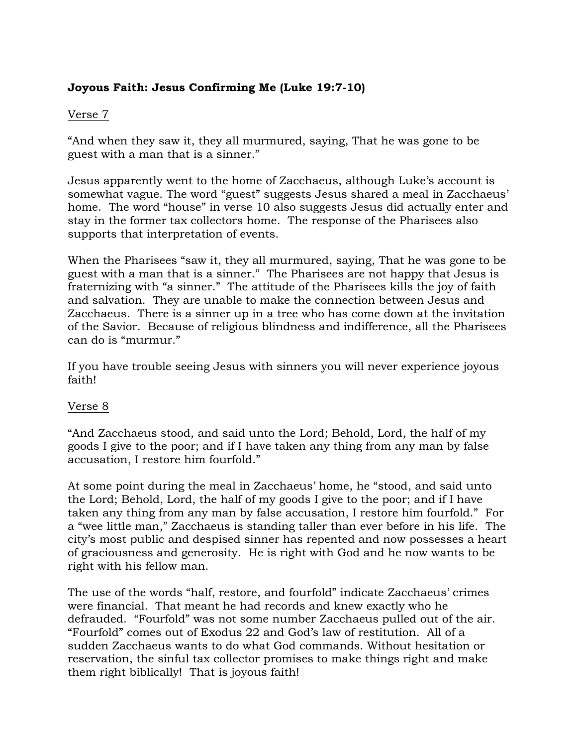# **Joyous Faith: Jesus Confirming Me (Luke 19:7-10)**

## Verse 7

"And when they saw it, they all murmured, saying, That he was gone to be guest with a man that is a sinner."

Jesus apparently went to the home of Zacchaeus, although Luke's account is somewhat vague. The word "guest" suggests Jesus shared a meal in Zacchaeus' home. The word "house" in verse 10 also suggests Jesus did actually enter and stay in the former tax collectors home. The response of the Pharisees also supports that interpretation of events.

When the Pharisees "saw it, they all murmured, saying, That he was gone to be guest with a man that is a sinner." The Pharisees are not happy that Jesus is fraternizing with "a sinner." The attitude of the Pharisees kills the joy of faith and salvation. They are unable to make the connection between Jesus and Zacchaeus. There is a sinner up in a tree who has come down at the invitation of the Savior. Because of religious blindness and indifference, all the Pharisees can do is "murmur."

If you have trouble seeing Jesus with sinners you will never experience joyous faith!

### Verse 8

"And Zacchaeus stood, and said unto the Lord; Behold, Lord, the half of my goods I give to the poor; and if I have taken any thing from any man by false accusation, I restore him fourfold."

At some point during the meal in Zacchaeus' home, he "stood, and said unto the Lord; Behold, Lord, the half of my goods I give to the poor; and if I have taken any thing from any man by false accusation, I restore him fourfold." For a "wee little man," Zacchaeus is standing taller than ever before in his life. The city's most public and despised sinner has repented and now possesses a heart of graciousness and generosity. He is right with God and he now wants to be right with his fellow man.

The use of the words "half, restore, and fourfold" indicate Zacchaeus' crimes were financial. That meant he had records and knew exactly who he defrauded. "Fourfold" was not some number Zacchaeus pulled out of the air. "Fourfold" comes out of Exodus 22 and God's law of restitution. All of a sudden Zacchaeus wants to do what God commands. Without hesitation or reservation, the sinful tax collector promises to make things right and make them right biblically! That is joyous faith!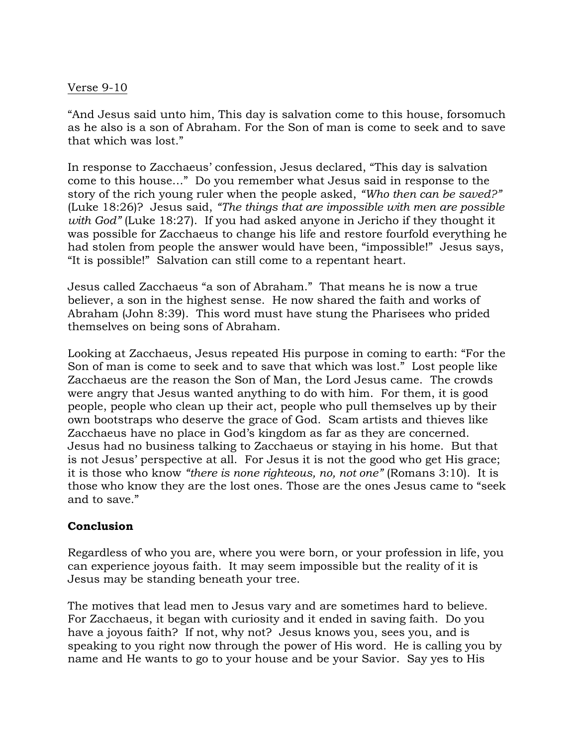### Verse 9-10

"And Jesus said unto him, This day is salvation come to this house, forsomuch as he also is a son of Abraham. For the Son of man is come to seek and to save that which was lost."

In response to Zacchaeus' confession, Jesus declared, "This day is salvation come to this house…" Do you remember what Jesus said in response to the story of the rich young ruler when the people asked, *"Who then can be saved?"*  (Luke 18:26)? Jesus said, *"The things that are impossible with men are possible with God"* (Luke 18:27). If you had asked anyone in Jericho if they thought it was possible for Zacchaeus to change his life and restore fourfold everything he had stolen from people the answer would have been, "impossible!" Jesus says, "It is possible!" Salvation can still come to a repentant heart.

Jesus called Zacchaeus "a son of Abraham." That means he is now a true believer, a son in the highest sense. He now shared the faith and works of Abraham (John 8:39). This word must have stung the Pharisees who prided themselves on being sons of Abraham.

Looking at Zacchaeus, Jesus repeated His purpose in coming to earth: "For the Son of man is come to seek and to save that which was lost." Lost people like Zacchaeus are the reason the Son of Man, the Lord Jesus came. The crowds were angry that Jesus wanted anything to do with him. For them, it is good people, people who clean up their act, people who pull themselves up by their own bootstraps who deserve the grace of God. Scam artists and thieves like Zacchaeus have no place in God's kingdom as far as they are concerned. Jesus had no business talking to Zacchaeus or staying in his home. But that is not Jesus' perspective at all. For Jesus it is not the good who get His grace; it is those who know *"there is none righteous, no, not one"* (Romans 3:10). It is those who know they are the lost ones. Those are the ones Jesus came to "seek and to save."

### **Conclusion**

Regardless of who you are, where you were born, or your profession in life, you can experience joyous faith. It may seem impossible but the reality of it is Jesus may be standing beneath your tree.

The motives that lead men to Jesus vary and are sometimes hard to believe. For Zacchaeus, it began with curiosity and it ended in saving faith. Do you have a joyous faith? If not, why not? Jesus knows you, sees you, and is speaking to you right now through the power of His word. He is calling you by name and He wants to go to your house and be your Savior. Say yes to His